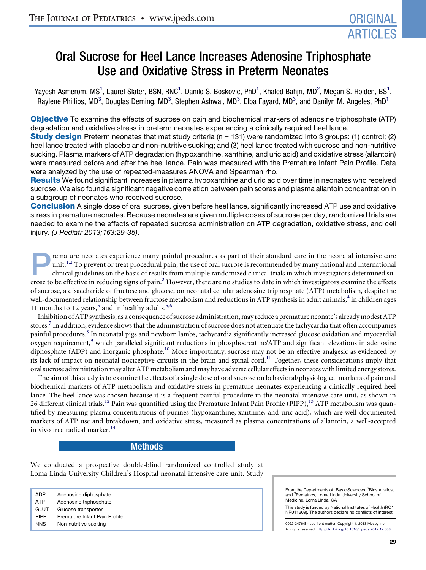# Oral Sucrose for Heel Lance Increases Adenosine Triphosphate Use and Oxidative Stress in Preterm Neonates

Yayesh Asmerom, MS<sup>1</sup>, Laurel Slater, BSN, RNC<sup>1</sup>, Danilo S. Boskovic, PhD<sup>1</sup>, Khaled Bahjri, MD<sup>2</sup>, Megan S. Holden, BS<sup>1</sup>, Raylene Phillips, MD<sup>3</sup>, Douglas Deming, MD<sup>3</sup>, Stephen Ashwal, MD<sup>3</sup>, Elba Fayard, MD<sup>3</sup>, and Danilyn M. Angeles, PhD<sup>1</sup>

**Objective** To examine the effects of sucrose on pain and biochemical markers of adenosine triphosphate (ATP) degradation and oxidative stress in preterm neonates experiencing a clinically required heel lance.

**Study design** Preterm neonates that met study criteria (n = 131) were randomized into 3 groups: (1) control; (2) heel lance treated with placebo and non-nutritive sucking; and (3) heel lance treated with sucrose and non-nutritive sucking. Plasma markers of ATP degradation (hypoxanthine, xanthine, and uric acid) and oxidative stress (allantoin) were measured before and after the heel lance. Pain was measured with the Premature Infant Pain Profile. Data were analyzed by the use of repeated-measures ANOVA and Spearman rho.

Results We found significant increases in plasma hypoxanthine and uric acid over time in neonates who received sucrose. We also found a significant negative correlation between pain scores and plasma allantoin concentration in a subgroup of neonates who received sucrose.

**Conclusion** A single dose of oral sucrose, given before heel lance, significantly increased ATP use and oxidative stress in premature neonates. Because neonates are given multiple doses of sucrose per day, randomized trials are needed to examine the effects of repeated sucrose administration on ATP degradation, oxidative stress, and cell injury. *(J Pediatr 2013;163:29-35)*.

remature neonates experience many painful procedures as part of their standard care in the neonatal intensive care<br>unit.<sup>1,2</sup> To prevent or treat procedural pain, the use of oral sucrose is recommended by many national and unit.<sup>[1,2](#page-6-0)</sup> To prevent or treat procedural pain, the use of oral sucrose is recommended by many national and international clinical guidelines on the basis of results from multiple randomized clinical trials in which investigators determined sucrose to be effective in reducing signs of pain.<sup>3</sup> However, there are no studies to date in which investigators examine the effects of sucrose, a disaccharide of fructose and glucose, on neonatal cellular adenosine triphosphate (ATP) metabolism, despite the well-documented relationship between fructose metabolism and reductions in ATP synthesis in adult animals,<sup>[4](#page-6-0)</sup> in children ages 11 months to 12 years,<sup>[5](#page-6-0)</sup> and in healthy adults.<sup>[5,6](#page-6-0)</sup>

Inhibition of ATP synthesis, as a consequence of sucrose administration, may reduce a premature neonate's already modest ATP stores.<sup>7</sup> In addition, evidence shows that the administration of sucrose does not attenuate the tachycardia that often accompanies painful procedures.<sup>[8](#page-6-0)</sup> In neonatal pigs and newborn lambs, tachycardia significantly increased glucose oxidation and myocardial oxygen requirement,<sup>9</sup> which paralleled significant reductions in phosphocreatine/ATP and significant elevations in adenosine diphosphate (ADP) and inorganic phosphate.<sup>[10](#page-6-0)</sup> More importantly, sucrose may not be an effective analgesic as evidenced by its lack of impact on neonatal nociceptive circuits in the brain and spinal cord.<sup>11</sup> Together, these considerations imply that oral sucrose administration may alter ATPmetabolism and may have adverse cellular effects in neonates with limited energy stores.

The aim of this study is to examine the effects of a single dose of oral sucrose on behavioral/physiological markers of pain and biochemical markers of ATP metabolism and oxidative stress in premature neonates experiencing a clinically required heel lance. The heel lance was chosen because it is a frequent painful procedure in the neonatal intensive care unit, as shown in 26 different clinical trials.<sup>12</sup> Pain was quantified using the Premature Infant Pain Profile (PIPP), <sup>[13](#page-6-0)</sup> ATP metabolism was quantified by measuring plasma concentrations of purines (hypoxanthine, xanthine, and uric acid), which are well-documented markers of ATP use and breakdown, and oxidative stress, measured as plasma concentrations of allantoin, a well-accepted in vivo free radical marker.<sup>[14](#page-6-0)</sup>

# Methods

We conducted a prospective double-blind randomized controlled study at Loma Linda University Children's Hospital neonatal intensive care unit. Study

ADP Adenosine diphosphate ATP Adenosine triphosphate GLUT Glucose transporter PIPP Premature Infant Pain Profile NNS Non-nutritive sucking

From the Departments of <sup>1</sup>Basic Sciences, <sup>2</sup>Biostatistics, and <sup>3</sup>Pediatrics, Loma Linda University School of Medicine, Loma Linda, CA

This study is funded by National Institutes of Health (RO1 NR011209). The authors declare no conflicts of interest.

0022-3476/\$ - see front matter. Copyright © 2013 Mosby Inc. All rights reserved. <http://dx.doi.org/10.1016/j.jpeds.2012.12.088>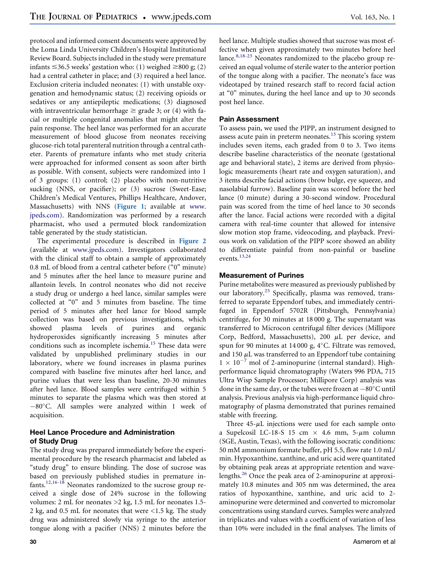protocol and informed consent documents were approved by the Loma Linda University Children's Hospital Institutional Review Board. Subjects included in the study were premature infants  $\leq$ 36.5 weeks' gestation who: (1) weighed  $\geq$ 800 g; (2) had a central catheter in place; and (3) required a heel lance. Exclusion criteria included neonates: (1) with unstable oxygenation and hemodynamic status; (2) receiving opioids or sedatives or any antiepileptic medications; (3) diagnosed with intraventricular hemorrhage  $\geq$  grade 3; or (4) with facial or multiple congenital anomalies that might alter the pain response. The heel lance was performed for an accurate measurement of blood glucose from neonates receiving glucose-rich total parenteral nutrition through a central catheter. Parents of premature infants who met study criteria were approached for informed consent as soon after birth as possible. With consent, subjects were randomized into 1 of 3 groups: (1) control; (2) placebo with non-nutritive sucking (NNS, or pacifier); or (3) sucrose (Sweet-Ease; Children's Medical Ventures, Phillips Healthcare, Andover, Massachusetts) with NNS ([Figure 1](#page-7-0); available at [www.](http://www.jpeds.com) [jpeds.com\)](http://www.jpeds.com). Randomization was performed by a research pharmacist, who used a permuted block randomization table generated by the study statistician.

The experimental procedure is described in [Figure 2](#page-7-0) (available at [www.jpeds.com](http://www.jpeds.com)). Investigators collaborated with the clinical staff to obtain a sample of approximately 0.8 mL of blood from a central catheter before ("0" minute) and 5 minutes after the heel lance to measure purine and allantoin levels. In control neonates who did not receive a study drug or undergo a heel lance, similar samples were collected at "0" and 5 minutes from baseline. The time period of 5 minutes after heel lance for blood sample collection was based on previous investigations, which showed plasma levels of purines and organic hydroperoxides significantly increasing 5 minutes after conditions such as incomplete ischemia.<sup>[15](#page-6-0)</sup> These data were validated by unpublished preliminary studies in our laboratory, where we found increases in plasma purines compared with baseline five minutes after heel lance, and purine values that were less than baseline, 20-30 minutes after heel lance. Blood samples were centrifuged within 5 minutes to separate the plasma which was then stored at  $-80^{\circ}$ C. All samples were analyzed within 1 week of acquisition.

# Heel Lance Procedure and Administration of Study Drug

The study drug was prepared immediately before the experimental procedure by the research pharmacist and labeled as "study drug" to ensure blinding. The dose of sucrose was based on previously published studies in premature infants.[12,16-18](#page-6-0) Neonates randomized to the sucrose group received a single dose of 24% sucrose in the following volumes: 2 mL for neonates >2 kg, 1.5 mL for neonates 1.5- 2 kg, and 0.5 mL for neonates that were <1.5 kg. The study drug was administered slowly via syringe to the anterior tongue along with a pacifier (NNS) 2 minutes before the

heel lance. Multiple studies showed that sucrose was most effective when given approximately two minutes before heel lance.<sup>[8,18-23](#page-6-0)</sup> Neonates randomized to the placebo group received an equal volume of sterile water to the anterior portion of the tongue along with a pacifier. The neonate's face was videotaped by trained research staff to record facial action at "0" minutes, during the heel lance and up to 30 seconds post heel lance.

# Pain Assessment

To assess pain, we used the PIPP, an instrument designed to assess acute pain in preterm neonates.<sup>[13](#page-6-0)</sup> This scoring system includes seven items, each graded from 0 to 3. Two items describe baseline characteristics of the neonate (gestational age and behavioral state), 2 items are derived from physiologic measurements (heart rate and oxygen saturation), and 3 items describe facial actions (brow bulge, eye squeeze, and nasolabial furrow). Baseline pain was scored before the heel lance (0 minute) during a 30-second window. Procedural pain was scored from the time of heel lance to 30 seconds after the lance. Facial actions were recorded with a digital camera with real-time counter that allowed for intensive slow motion stop frame, videocoding, and playback. Previous work on validation of the PIPP score showed an ability to differentiate painful from non-painful or baseline events.<sup>[13,24](#page-6-0)</sup>

# Measurement of Purines

Purine metabolites were measured as previously published by our laboratory.<sup>[25](#page-6-0)</sup> Specifically, plasma was removed, transferred to separate Eppendorf tubes, and immediately centrifuged in Eppendorf 5702R (Pittsburgh, Pennsylvania) centrifuge, for 30 minutes at 18 000 g. The supernatant was transferred to Microcon centrifugal filter devices (Millipore Corp, Bedford, Massachusetts), 200  $\mu$ L per device, and spun for 90 minutes at 14 000 g,  $4^{\circ}$ C. Filtrate was removed, and 150  $\mu$ L was transferred to an Eppendorf tube containing  $1 \times 10^{-7}$  mol of 2-aminopurine (internal standard). Highperformance liquid chromatography (Waters 996 PDA, 715 Ultra Wisp Sample Processor; Millipore Corp) analysis was done in the same day, or the tubes were frozen at  $-80^{\circ}$ C until analysis. Previous analysis via high-performance liquid chromatography of plasma demonstrated that purines remained stable with freezing.

Three  $45-\mu L$  injections were used for each sample onto a Supelcosil LC-18-S 15 cm  $\times$  4.6 mm, 5- $\mu$ m column (SGE, Austin, Texas), with the following isocratic conditions: 50 mM ammonium formate buffer, pH 5.5, flow rate 1.0 mL/ min. Hypoxanthine, xanthine, and uric acid were quantitated by obtaining peak areas at appropriate retention and wavelengths.[26](#page-6-0) Once the peak area of 2-aminopurine at approximately 10.8 minutes and 305 nm was determined, the area ratios of hypoxanthine, xanthine, and uric acid to 2 aminopurine were determined and converted to micromolar concentrations using standard curves. Samples were analyzed in triplicates and values with a coefficient of variation of less than 10% were included in the final analyses. The limits of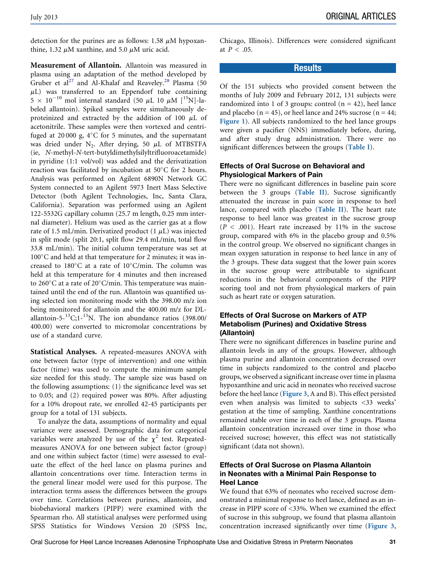detection for the purines are as follows: 1.58  $\mu$ M hypoxanthine, 1.32  $\mu$ M xanthine, and 5.0  $\mu$ M uric acid.

Measurement of Allantoin. Allantoin was measured in plasma using an adaptation of the method developed by Gruber et al<sup>[27](#page-6-0)</sup> and Al-Khalaf and Reaveley.<sup>[28](#page-6-0)</sup> Plasma (50  $\mu$ L) was transferred to an Eppendorf tube containing  $5 \times 10^{-10}$  mol internal standard (50  $\mu$ L 10  $\mu$ M [<sup>15</sup>N]-labeled allantoin). Spiked samples were simultaneously deproteinized and extracted by the addition of 100  $\mu$ L of acetonitrile. These samples were then vortexed and centrifuged at 20 000 g,  $4^{\circ}$ C for 5 minutes, and the supernatant was dried under N<sub>2</sub>. After drying, 50  $\mu$ L of MTBSTFA (ie, N-methyl-N-tert-butyldimethylsilyltrifluoroacetamide) in pyridine (1:1 vol/vol) was added and the derivatization reaction was facilitated by incubation at  $50^{\circ}$ C for 2 hours. Analysis was performed on Agilent 6890N Network GC System connected to an Agilent 5973 Inert Mass Selective Detector (both Agilent Technologies, Inc, Santa Clara, California). Separation was performed using an Agilent 122-5532G capillary column (25.7 m length, 0.25 mm internal diameter). Helium was used as the carrier gas at a flow rate of 1.5 mL/min. Derivatized product  $(1 \mu L)$  was injected in split mode (split 20:1, split flow 29.4 mL/min, total flow 33.8 mL/min). The initial column temperature was set at  $100^{\circ}$ C and held at that temperature for 2 minutes; it was increased to  $180^{\circ}$ C at a rate of  $10^{\circ}$ C/min. The column was held at this temperature for 4 minutes and then increased to 260 $\rm ^{\circ}C$  at a rate of 20 $\rm ^{\circ}C/m$ in. This temperature was maintained until the end of the run. Allantoin was quantified using selected ion monitoring mode with the 398.00 m/z ion being monitored for allantoin and the 400.00 m/z for DLallantoin-5- $^{13}$ C;1- $^{15}$ N. The ion abundance ratios (398.00/ 400.00) were converted to micromolar concentrations by use of a standard curve.

Statistical Analyses. A repeated-measures ANOVA with one between factor (type of intervention) and one within factor (time) was used to compute the minimum sample size needed for this study. The sample size was based on the following assumptions: (1) the significance level was set to 0.05; and (2) required power was 80%. After adjusting for a 10% dropout rate, we enrolled 42-45 participants per group for a total of 131 subjects.

To analyze the data, assumptions of normality and equal variance were assessed. Demographic data for categorical variables were analyzed by use of the  $\chi^2$  test. Repeatedmeasures ANOVA for one between subject factor (group) and one within subject factor (time) were assessed to evaluate the effect of the heel lance on plasma purines and allantoin concentrations over time. Interaction terms in the general linear model were used for this purpose. The interaction terms assess the differences between the groups over time. Correlations between purines, allantoin, and biobehavioral markers (PIPP) were examined with the Spearman rho. All statistical analyses were performed using SPSS Statistics for Windows Version 20 (SPSS Inc, Chicago, Illinois). Differences were considered significant at  $P < .05$ .

#### Results

Of the 151 subjects who provided consent between the months of July 2009 and February 2012, 131 subjects were randomized into 1 of 3 groups: control  $(n = 42)$ , heel lance and placebo ( $n = 45$ ), or heel lance and 24% sucrose ( $n = 44$ ; [Figure 1](#page-7-0)). All subjects randomized to the heel lance groups were given a pacifier (NNS) immediately before, during, and after study drug administration. There were no significant differences between the groups ([Table I](#page-3-0)).

#### Effects of Oral Sucrose on Behavioral and Physiological Markers of Pain

There were no significant differences in baseline pain score between the 3 groups ([Table II](#page-3-0)). Sucrose significantly attenuated the increase in pain score in response to heel lance, compared with placebo ([Table II](#page-3-0)). The heart rate response to heel lance was greatest in the sucrose group  $(P < .001)$ . Heart rate increased by 11% in the sucrose group, compared with 6% in the placebo group and 0.5% in the control group. We observed no significant changes in mean oxygen saturation in response to heel lance in any of the 3 groups. These data suggest that the lower pain scores in the sucrose group were attributable to significant reductions in the behavioral components of the PIPP scoring tool and not from physiological markers of pain such as heart rate or oxygen saturation.

# Effects of Oral Sucrose on Markers of ATP Metabolism (Purines) and Oxidative Stress (Allantoin)

There were no significant differences in baseline purine and allantoin levels in any of the groups. However, although plasma purine and allantoin concentration decreased over time in subjects randomized to the control and placebo groups, we observed a significant increase over time in plasma hypoxanthine and uric acid in neonates who received sucrose before the heel lance ([Figure 3](#page-4-0), A and B). This effect persisted even when analysis was limited to subjects <33 weeks' gestation at the time of sampling. Xanthine concentrations remained stable over time in each of the 3 groups. Plasma allantoin concentration increased over time in those who received sucrose; however, this effect was not statistically significant (data not shown).

# Effects of Oral Sucrose on Plasma Allantoin in Neonates with a Minimal Pain Response to Heel Lance

We found that 63% of neonates who received sucrose demonstrated a minimal response to heel lance, defined as an increase in PIPP score of <33%. When we examined the effect of sucrose in this subgroup, we found that plasma allantoin concentration increased significantly over time ([Figure 3](#page-4-0),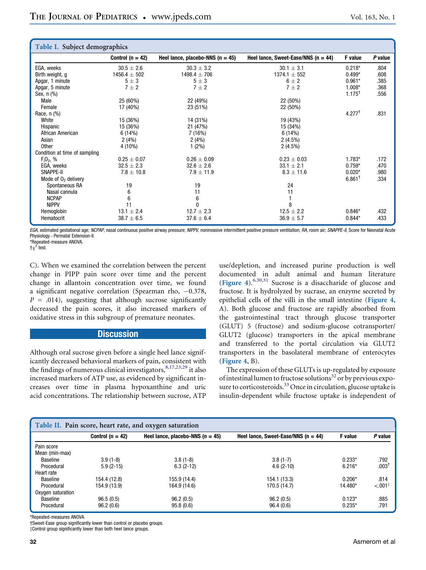<span id="page-3-0"></span>

| Table I. Subject demographics |                      |                                    |                                       |                      |         |  |  |  |  |
|-------------------------------|----------------------|------------------------------------|---------------------------------------|----------------------|---------|--|--|--|--|
|                               | Control ( $n = 42$ ) | Heel lance, placebo-NNS $(n = 45)$ | Heel lance, Sweet-Ease/NNS $(n = 44)$ | F value              | P value |  |  |  |  |
| EGA, weeks                    | $30.5 \pm 2.6$       | $30.3 \pm 3.2$                     | $30.1 \pm 3.1$                        | $0.218*$             | .804    |  |  |  |  |
| Birth weight, g               | $1456.4 \pm 502$     | $1498.4 \pm 706$                   | $1374.1 \pm 552$                      | $0.499*$             | .608    |  |  |  |  |
| Apgar, 1 minute               | $5\pm3$              | $5\pm3$                            | $6 \pm 2$                             | $0.961*$             | .385    |  |  |  |  |
| Apgar, 5 minute               | $7 \pm 2$            | $7 \pm 2$                          | $7 \pm 2$                             | $1.008*$             | .368    |  |  |  |  |
| Sex, n (%)                    |                      |                                    |                                       | $1.175$ <sup>†</sup> | .556    |  |  |  |  |
| Male                          | 25 (60%)             | 22 (49%)                           | 22 (50%)                              |                      |         |  |  |  |  |
| Female                        | 17 (40%)             | 23 (51%)                           | 22 (50%)                              |                      |         |  |  |  |  |
| Race, $n$ $%$                 |                      |                                    |                                       | $4.277^{\dagger}$    | .831    |  |  |  |  |
| White                         | 15 (36%)             | 14 (31%)                           | 19 (43%)                              |                      |         |  |  |  |  |
| Hispanic                      | 15 (36%)             | 21 (47%)                           | 15 (34%)                              |                      |         |  |  |  |  |
| African American              | 6(14%)               | 7(16%)                             | 6 (14%)                               |                      |         |  |  |  |  |
| Asian                         | 2(4%)                | 2(4%)                              | $2(4.5\%)$                            |                      |         |  |  |  |  |
| Other                         | 4 (10%)              | $1(2\%)$                           | $2(4.5\%)$                            |                      |         |  |  |  |  |
| Condition at time of sampling |                      |                                    |                                       |                      |         |  |  |  |  |
| $F_10_2, %$                   | $0.25 \pm 0.07$      | $0.26 \pm 0.09$                    | $0.23 \pm 0.03$                       | $1.783*$             | .172    |  |  |  |  |
| EGA, weeks                    | $32.5 \pm 2.3$       | $32.6 \pm 2.6$                     | $33.1 \pm 2.1$                        | $0.759*$             | .470    |  |  |  |  |
| SNAPPE-II                     | $7.8 \pm 10.8$       | $7.9 \pm 11.9$                     | $8.3 \pm 11.6$                        | $0.020*$             | .980    |  |  |  |  |
| Mode of $02$ delivery         |                      |                                    |                                       | $6.861$ <sup>t</sup> | .334    |  |  |  |  |
| Spontaneous RA                | 19                   | 19                                 | 24                                    |                      |         |  |  |  |  |
| Nasal cannula                 | 6                    | 11                                 | 11                                    |                      |         |  |  |  |  |
| <b>NCPAP</b>                  | 6                    | 6                                  |                                       |                      |         |  |  |  |  |
| <b>NIPPV</b>                  | 11                   | $\mathbf{0}$                       | 8                                     |                      |         |  |  |  |  |
| Hemoglobin                    | $13.1 \pm 2.4$       | $12.7 \pm 2.3$                     | $12.5 \pm 2.2$                        | $0.846*$             | .432    |  |  |  |  |
| Hematocrit                    | $38.7 \pm 6.5$       | $37.6 \pm 6.4$                     | $36.9 \pm 5.7$                        | $0.844*$             | .433    |  |  |  |  |

EGA, estimated gestational age; NCPAP, nasal continuous positive airway pressure; NIPPV, noninvasive intermittent positive pressure ventilation; RA, room air; SNAPPE-II, Score for Neonatal Acute Physiology-Perinatal Extension-II.

\*Repeated-measure ANOVA.  $\tau \chi^2$  test.

C). When we examined the correlation between the percent change in PIPP pain score over time and the percent change in allantoin concentration over time, we found a significant negative correlation (Spearman rho,  $-0.378$ ,  $P = .014$ ), suggesting that although sucrose significantly decreased the pain scores, it also increased markers of oxidative stress in this subgroup of premature neonates.

# **Discussion**

Although oral sucrose given before a single heel lance significantly decreased behavioral markers of pain, consistent with the findings of numerous clinical investigators,  $8,17,23,29$  it also increased markers of ATP use, as evidenced by significant increases over time in plasma hypoxanthine and uric acid concentrations. The relationship between sucrose, ATP

use/depletion, and increased purine production is well documented in adult animal and human literature ([Figure 4](#page-5-0)).[6,30,31](#page-6-0) Sucrose is a disaccharide of glucose and fructose. It is hydrolyzed by sucrase, an enzyme secreted by epithelial cells of the villi in the small intestine ([Figure 4](#page-5-0), A). Both glucose and fructose are rapidly absorbed from the gastrointestinal tract through glucose transporter (GLUT) 5 (fructose) and sodium-glucose cotransporter/ GLUT2 (glucose) transporters in the apical membrane and transferred to the portal circulation via GLUT2 transporters in the basolateral membrane of enterocytes ([Figure 4](#page-5-0), B).

The expression of these GLUTs is up-regulated by exposure of intestinal lumen to fructose solutions<sup>[32](#page-6-0)</sup> or by previous exposure to corticosteroids.<sup>33</sup> Once in circulation, glucose uptake is insulin-dependent while fructose uptake is independent of

| Table II. Pain score, heart rate, and oxygen saturation |                      |                                    |                                       |           |                       |  |  |  |
|---------------------------------------------------------|----------------------|------------------------------------|---------------------------------------|-----------|-----------------------|--|--|--|
|                                                         | Control ( $n = 42$ ) | Heel lance, placebo-NNS $(n = 45)$ | Heel lance, Sweet-Ease/NNS $(n = 44)$ | F value   | P value               |  |  |  |
| Pain score                                              |                      |                                    |                                       |           |                       |  |  |  |
| Mean (min-max)                                          |                      |                                    |                                       |           |                       |  |  |  |
| Baseline                                                | $3.9(1-8)$           | $3.8(1-8)$                         | $3.8(1-7)$                            | $0.233*$  | .792                  |  |  |  |
| Procedural                                              | $5.9(2-15)$          | $6.3(2-12)$                        | $4.6(2-10)$                           | $6.216*$  | $.003$ <sup>1</sup>   |  |  |  |
| Heart rate                                              |                      |                                    |                                       |           |                       |  |  |  |
| Baseline                                                | 154.4 (12.8)         | 155.9 (14.4)                       | 154.1 (13.3)                          | $0.206*$  | .814                  |  |  |  |
| Procedural                                              | 154.9 (13.9)         | 164.9 (14.6)                       | 170.5 (14.7)                          | $14.480*$ | $< 0.01$ <sup>#</sup> |  |  |  |
| Oxygen saturation                                       |                      |                                    |                                       |           |                       |  |  |  |
| Baseline                                                | 96.5(0.5)            | 96.2(0.5)                          | 96.2(0.5)                             | $0.123*$  | .885                  |  |  |  |
| Procedural                                              | 96.2(0.6)            | 95.8(0.6)                          | 96.4(0.6)                             | $0.235*$  | .791                  |  |  |  |

\*Repeated-measures ANOVA.

†Sweet-Ease group significantly lower than control or placebo groups.  $\ddagger$ Control group significantly lower than both heel lance groups.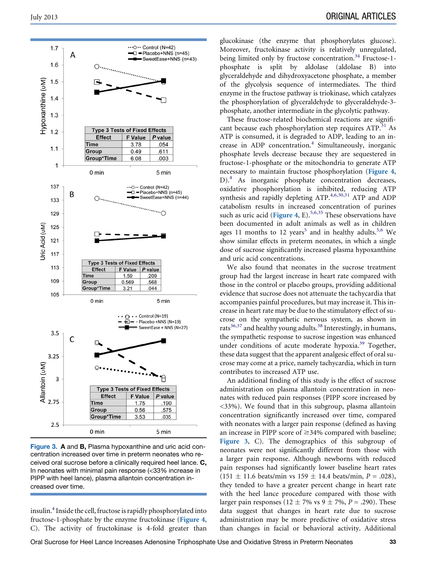<span id="page-4-0"></span>

Figure 3. A and B, Plasma hypoxanthine and uric acid concentration increased over time in preterm neonates who received oral sucrose before a clinically required heel lance. C, In neonates with minimal pain response (<33% increase in PIPP with heel lance), plasma allantoin concentration increased over time.

insulin[.4](#page-6-0) Inside the cell, fructose is rapidly phosphorylated into fructose-1-phosphate by the enzyme fructokinase ([Figure 4](#page-5-0), C). The activity of fructokinase is 4-fold greater than glucokinase (the enzyme that phosphorylates glucose). Moreover, fructokinase activity is relatively unregulated, being limited only by fructose concentration.<sup>34</sup> Fructose-1phosphate is split by aldolase (aldolase B) into glyceraldehyde and dihydroxyacetone phosphate, a member of the glycolysis sequence of intermediates. The third enzyme in the fructose pathway is triokinase, which catalyzes the phosphorylation of glyceraldehyde to glyceraldehyde-3 phosphate, another intermediate in the glycolytic pathway.

These fructose-related biochemical reactions are significant because each phosphorylation step requires  $ATP<sup>31</sup>$  $ATP<sup>31</sup>$  $ATP<sup>31</sup>$  As ATP is consumed, it is degraded to ADP, leading to an in-crease in ADP concentration.<sup>[4](#page-6-0)</sup> Simultaneously, inorganic phosphate levels decrease because they are sequestered in fructose-1-phosphate or the mitochondria to generate ATP necessary to maintain fructose phosphorylation ([Figure 4](#page-5-0), D).<sup>4</sup> As inorganic phosphate concentration decreases, oxidative phosphorylation is inhibited, reducing ATP synthesis and rapidly depleting ATP.<sup>[4,6,30,31](#page-6-0)</sup> ATP and ADP catabolism results in increased concentration of purines such as uric acid ([Figure 4](#page-5-0), E).<sup>[5,6,35](#page-6-0)</sup> These observations have been documented in adult animals as well as in children ages 11 months to 12 years<sup>[5](#page-6-0)</sup> and in healthy adults.<sup>[5,6](#page-6-0)</sup> We show similar effects in preterm neonates, in which a single dose of sucrose significantly increased plasma hypoxanthine and uric acid concentrations.

We also found that neonates in the sucrose treatment group had the largest increase in heart rate compared with those in the control or placebo groups, providing additional evidence that sucrose does not attenuate the tachycardia that accompanies painful procedures, but may increase it. This increase in heart rate may be due to the stimulatory effect of sucrose on the sympathetic nervous system, as shown in rats $36,37$  and healthy young adults.<sup>[38](#page-6-0)</sup> Interestingly, in humans, the sympathetic response to sucrose ingestion was enhanced under conditions of acute moderate hypoxia.<sup>[39](#page-6-0)</sup> Together, these data suggest that the apparent analgesic effect of oral sucrose may come at a price, namely tachycardia, which in turn contributes to increased ATP use.

An additional finding of this study is the effect of sucrose administration on plasma allantoin concentration in neonates with reduced pain responses (PIPP score increased by <33%). We found that in this subgroup, plasma allantoin concentration significantly increased over time, compared with neonates with a larger pain response (defined as having an increase in PIPP score of  $\geq$ 34% compared with baseline; Figure 3, C). The demographics of this subgroup of neonates were not significantly different from those with a larger pain response. Although newborns with reduced pain responses had significantly lower baseline heart rates  $(151 \pm 11.6 \text{ beats/min vs } 159 \pm 14.4 \text{ beats/min}, P = .028)$ , they tended to have a greater percent change in heart rate with the heel lance procedure compared with those with larger pain responses (12  $\pm$  7% vs 9  $\pm$  7%, P = .290). These data suggest that changes in heart rate due to sucrose administration may be more predictive of oxidative stress than changes in facial or behavioral activity. Additional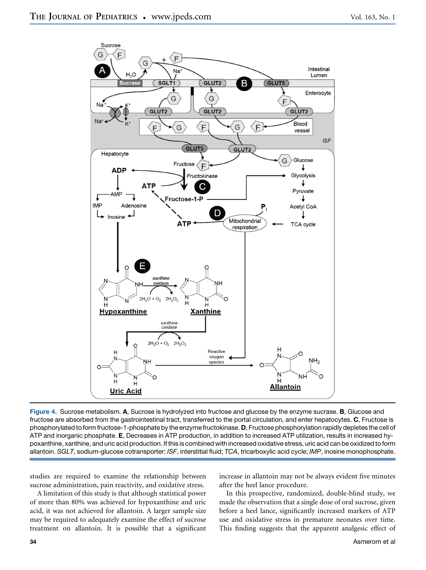<span id="page-5-0"></span>

Figure 4. Sucrose metabolism. A, Sucrose is hydrolyzed into fructose and glucose by the enzyme sucrase. B, Glucose and fructose are absorbed from the gastrointestinal tract, transferred to the portal circulation, and enter hepatocytes. C, Fructose is phosphorylated to form fructose-1-phosphate by the enzyme fructokinase. D, Fructose phosphorylation rapidly depletes the cell of ATP and inorganic phosphate. E, Decreases in ATP production, in addition to increased ATP utilization, results in increased hypoxanthine, xanthine, and uric acid production. If this is combined with increased oxidative stress, uric acid can be oxidized to form allantoin. *SGLT*, sodium-glucose cotransporter; *ISF*, interstitial fluid; *TCA*, tricarboxylic acid cycle; *IMP*, inosine monophosphate.

studies are required to examine the relationship between sucrose administration, pain reactivity, and oxidative stress.

A limitation of this study is that although statistical power of more than 80% was achieved for hypoxanthine and uric acid, it was not achieved for allantoin. A larger sample size may be required to adequately examine the effect of sucrose treatment on allantoin. It is possible that a significant

increase in allantoin may not be always evident five minutes after the heel lance procedure.

In this prospective, randomized, double-blind study, we made the observation that a single dose of oral sucrose, given before a heel lance, significantly increased markers of ATP use and oxidative stress in premature neonates over time. This finding suggests that the apparent analgesic effect of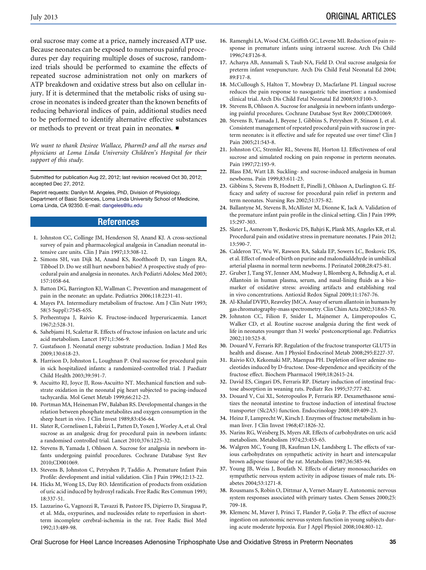<span id="page-6-0"></span>oral sucrose may come at a price, namely increased ATP use. Because neonates can be exposed to numerous painful procedures per day requiring multiple doses of sucrose, randomized trials should be performed to examine the effects of repeated sucrose administration not only on markers of ATP breakdown and oxidative stress but also on cellular injury. If it is determined that the metabolic risks of using sucrose in neonates is indeed greater than the known benefits of reducing behavioral indices of pain, additional studies need to be performed to identify alternative effective substances or methods to prevent or treat pain in neonates.  $\blacksquare$ 

We want to thank Desiree Wallace, PharmD and all the nurses and physicians at Loma Linda University Children's Hospital for their support of this study.

Submitted for publication Aug 22, 2012; last revision received Oct 30, 2012; accepted Dec 27, 2012.

Reprint requests: Danilyn M. Angeles, PhD, Division of Physiology, Department of Basic Sciences, Loma Linda University School of Medicine, Loma Linda, CA 92350. E-mail: dangeles@llu.edu

#### References

- 1. Johnston CC, Collinge JM, Henderson SJ, Anand KJ. A cross-sectional survey of pain and pharmacological analgesia in Canadian neonatal intensive care units. Clin J Pain 1997;13:308-12.
- 2. Simons SH, van Dijk M, Anand KS, Roofthooft D, van Lingen RA, Tibboel D. Do we still hurt newborn babies? A prospective study of procedural pain and analgesia in neonates. Arch Pediatri Adolesc Med 2003; 157:1058-64.
- 3. Batton DG, Barrington KJ, Wallman C. Prevention and management of pain in the neonate: an update. Pediatrics 2006;118:2231-41.
- 4. Mayes PA. Intermediary metabolism of fructose. Am J Clin Nutr 1993; 58(5 Suppl):754S-65S.
- 5. Perheentupa J, Raivio K. Fructose-induced hyperuricaemia. Lancet 1967;2:528-31.
- 6. Sahebjami H, Scalettar R. Effects of fructose infusion on lactate and uric acid metabolism. Lancet 1971;1:366-9.
- 7. Gustafsson J. Neonatal energy substrate production. Indian J Med Res 2009;130:618-23.
- 8. Harrison D, Johnston L, Loughnan P. Oral sucrose for procedural pain in sick hospitalized infants: a randomized-controlled trial. J Paediatr Child Health 2003;39:591-7.
- 9. Ascuitto RJ, Joyce JJ, Ross-Ascuitto NT. Mechanical function and substrate oxidation in the neonatal pig heart subjected to pacing-induced tachycardia. Mol Genet Metab 1999;66:212-23.
- 10. Portman MA, Heineman FW, Balaban RS. Developmental changes in the relation between phosphate metabolites and oxygen consumption in the sheep heart in vivo. J Clin Invest 1989;83:456-64.
- 11. Slater R, Cornelissen L, Fabrizi L, Patten D, Yoxen J, Worley A, et al. Oral sucrose as an analgesic drug for procedural pain in newborn infants: a randomised controlled trial. Lancet 2010;376:1225-32.
- 12. Stevens B, Yamada J, Ohlsson A. Sucrose for analgesia in newborn infants undergoing painful procedures. Cochrane Database Syst Rev 2010;CD001069.
- 13. Stevens B, Johnston C, Petryshen P, Taddio A. Premature Infant Pain Profile: development and initial validation. Clin J Pain 1996;12:13-22.
- 14. Hicks M, Wong LS, Day RO. Identification of products from oxidation of uric acid induced by hydroxyl radicals. Free Radic Res Commun 1993; 18:337-51.
- 15. Lazzarino G, Vagnozzi R, Tavazzi B, Pastore FS, Dipierro D, Siragusa P, et al. Mda, oxypurines, and nucleosides relate to reperfusion in shortterm incomplete cerebral-ischemia in the rat. Free Radic Biol Med 1992;13:489-98.
- 16. Ramenghi LA, Wood CM, Griffith GC, Levene MI. Reduction of pain response in premature infants using intraoral sucrose. Arch Dis Child 1996;74:F126-8.
- 17. Acharya AB, Annamali S, Taub NA, Field D. Oral sucrose analgesia for preterm infant venepuncture. Arch Dis Child Fetal Neonatal Ed 2004; 89:F17-8.
- 18. McCullough S, Halton T, Mowbray D, Macfarlane PI. Lingual sucrose reduces the pain response to nasogastric tube insertion: a randomised clinical trial. Arch Dis Child Fetal Neonatal Ed 2008;93:F100-3.
- 19. Stevens B, Ohlsson A. Sucrose for analgesia in newborn infants undergoing painful procedures. Cochrane Database Syst Rev 2000;CD001069.
- 20. Stevens B, Yamada J, Beyene J, Gibbins S, Petryshen P, Stinson J, et al. Consistent management of repeated procedural pain with sucrose in preterm neonates: is it effective and safe for repeated use over time? Clin J Pain 2005;21:543-8.
- 21. Johnston CC, Stremler RL, Stevens BJ, Horton LJ. Effectiveness of oral sucrose and simulated rocking on pain response in preterm neonates. Pain 1997;72:193-9.
- 22. Blass EM, Watt LB. Suckling- and sucrose-induced analgesia in human newborns. Pain 1999;83:611-23.
- 23. Gibbins S, Stevens B, Hodnett E, Pinelli J, Ohlsson A, Darlington G. Efficacy and safety of sucrose for procedural pain relief in preterm and term neonates. Nursing Res 2002;51:375-82.
- 24. Ballantyne M, Stevens B, McAllister M, Dionne K, Jack A. Validation of the premature infant pain profile in the clinical setting. Clin J Pain 1999; 15:297-303.
- 25. Slater L, Asmerom Y, Boskovic DS, Bahjri K, Plank MS, Angeles KR, et al. Procedural pain and oxidative stress in premature neonates. J Pain 2012; 13:590-7.
- 26. Calderon TC, Wu W, Rawson RA, Sakala EP, Sowers LC, Boskovic DS, et al. Effect of mode of birth on purine and malondialdehyde in umbilical arterial plasma in normal term newborns. J Perinatol 2008;28:475-81.
- 27. Gruber J, Tang SY, Jenner AM, Mudway I, Blomberg A, Behndig A, et al. Allantoin in human plasma, serum, and nasal-lining fluids as a biomarker of oxidative stress: avoiding artifacts and establishing real in vivo concentrations. Antioxid Redox Signal 2009;11:1767-76.
- 28. Al-Khalaf DVPD, Reaveley JMCA. Assay of serum allantoin in humans by gas chromatography-mass spectrometry. Clin Chim Acta 2002;318:63-70.
- 29. Johnston CC, Filion F, Snider L, Majnemer A, Limperopoulos C, Walker CD, et al. Routine sucrose analgesia during the first week of life in neonates younger than 31 weeks' postconceptional age. Pediatrics 2002;110:523-8.
- 30. Douard V, Ferraris RP. Regulation of the fructose transporter GLUT5 in health and disease. Am J Physiol Endocrinol Metab 2008;295:E227-37.
- 31. Raivio KO, Kekomaki MP, Maenpaa PH. Depletion of liver adenine nucleotides induced by D-fructose. Dose-dependence and specificity of the fructose effect. Biochem Pharmacol 1969;18:2615-24.
- 32. David ES, Cingari DS, Ferraris RP. Dietary induction of intestinal fructose absorption in weaning rats. Pediatr Res 1995;37:777-82.
- 33. Douard V, Cui XL, Soteropoulos P, Ferraris RP. Dexamethasone sensitizes the neonatal intestine to fructose induction of intestinal fructose transporter (Slc2A5) function. Endocrinology 2008;149:409-23.
- 34. Heinz F, Lamprecht W, Kirsch J. Enzymes of fructose metabolism in human liver. J Clin Invest 1968;47:1826-32.
- 35. Narins RG, Weisberg JS, Myers AR. Effects of carbohydrates on uric acid metabolism. Metabolism 1974;23:455-65.
- 36. Walgren MC, Young JB, Kaufman LN, Landsberg L. The effects of various carbohydrates on sympathetic activity in heart and interscapular brown adipose tissue of the rat. Metabolism 1987;36:585-94.
- 37. Young JB, Weiss J, Boufath N. Effects of dietary monosaccharides on sympathetic nervous system activity in adipose tissues of male rats. Diabetes 2004;53:1271-8.
- 38. Rousmans S, Robin O, Dittmar A, Vernet-Maury E. Autonomic nervous system responses associated with primary tastes. Chem Senses 2000;25: 709-18.
- 39. Klemenc M, Maver J, Princi T, Flander P, Golja P. The effect of sucrose ingestion on autonomic nervous system function in young subjects during acute moderate hypoxia. Eur J Appl Physiol 2008;104:803-12.